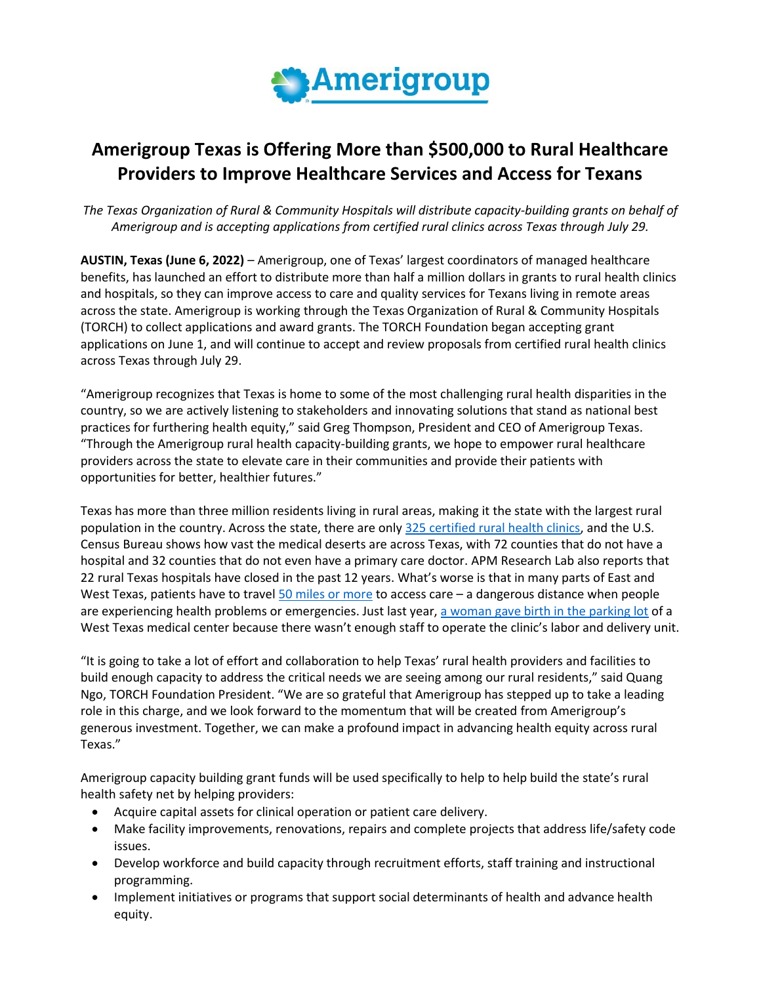

## **Amerigroup Texas is Offering More than \$500,000 to Rural Healthcare Providers to Improve Healthcare Services and Access for Texans**

*The Texas Organization of Rural & Community Hospitals will distribute capacity-building grants on behalf of Amerigroup and is accepting applications from certified rural clinics across Texas through July 29.*

**AUSTIN, Texas (June 6, 2022)** – Amerigroup, one of Texas' largest coordinators of managed healthcare benefits, has launched an effort to distribute more than half a million dollars in grants to rural health clinics and hospitals, so they can improve access to care and quality services for Texans living in remote areas across the state. Amerigroup is working through the Texas Organization of Rural & Community Hospitals (TORCH) to collect applications and award grants. The TORCH Foundation began accepting grant applications on June 1, and will continue to accept and review proposals from certified rural health clinics across Texas through July 29.

"Amerigroup recognizes that Texas is home to some of the most challenging rural health disparities in the country, so we are actively listening to stakeholders and innovating solutions that stand as national best practices for furthering health equity," said Greg Thompson, President and CEO of Amerigroup Texas. "Through the Amerigroup rural health capacity-building grants, we hope to empower rural healthcare providers across the state to elevate care in their communities and provide their patients with opportunities for better, healthier futures."

Texas has more than three million residents living in rural areas, making it the state with the largest rural population in the country. Across the state, there are only [325 certified rural health clinics,](https://www.ruralhealthinfo.org/states/texas) and the U.S. Census Bureau shows how vast the medical deserts are across Texas, with 72 counties that do not have a hospital and 32 counties that do not even have a primary care doctor. APM Research Lab also reports that 22 rural Texas hospitals have closed in the past 12 years. What's worse is that in many parts of East and West Texas, patients have to travel  $50$  miles or more to access care  $-$  a dangerous distance when people are experiencing health problems or emergencies. Just last year[, a woman gave birth in the parking lot](https://www.texastribune.org/2022/01/20/rural-hospital-texas-maternity-care-obstetrics/) of a West Texas medical center because there wasn't enough staff to operate the clinic's labor and delivery unit.

"It is going to take a lot of effort and collaboration to help Texas' rural health providers and facilities to build enough capacity to address the critical needs we are seeing among our rural residents," said Quang Ngo, TORCH Foundation President. "We are so grateful that Amerigroup has stepped up to take a leading role in this charge, and we look forward to the momentum that will be created from Amerigroup's generous investment. Together, we can make a profound impact in advancing health equity across rural Texas."

Amerigroup capacity building grant funds will be used specifically to help to help build the state's rural health safety net by helping providers:

- Acquire capital assets for clinical operation or patient care delivery.
- Make facility improvements, renovations, repairs and complete projects that address life/safety code issues.
- Develop workforce and build capacity through recruitment efforts, staff training and instructional programming.
- Implement initiatives or programs that support social determinants of health and advance health equity.